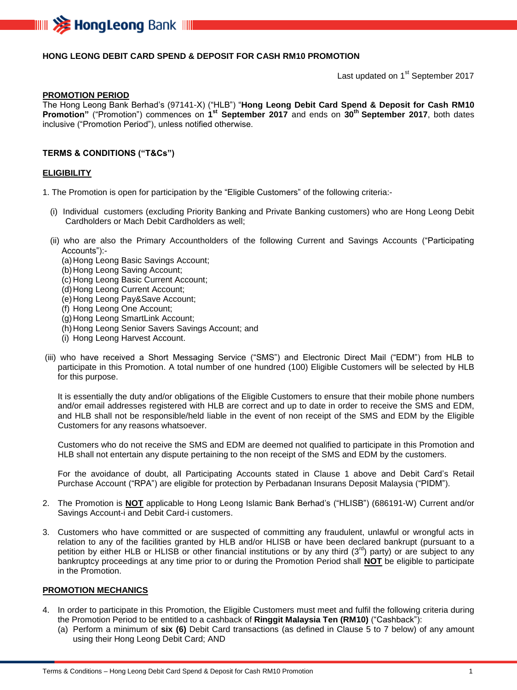

## **HONG LEONG DEBIT CARD SPEND & DEPOSIT FOR CASH RM10 PROMOTION**

Last updated on 1<sup>st</sup> September 2017

#### **PROMOTION PERIOD**

The Hong Leong Bank Berhad's (97141-X) ("HLB") "**Hong Leong Debit Card Spend & Deposit for Cash RM10 Promotion"** ("Promotion") commences on **1 st September 2017** and ends on **30 th September 2017**, both dates inclusive ("Promotion Period"), unless notified otherwise.

### **TERMS & CONDITIONS ("T&Cs")**

#### **ELIGIBILITY**

1. The Promotion is open for participation by the "Eligible Customers" of the following criteria:-

- (i) Individual customers (excluding Priority Banking and Private Banking customers) who are Hong Leong Debit Cardholders or Mach Debit Cardholders as well;
- (ii) who are also the Primary Accountholders of the following Current and Savings Accounts ("Participating Accounts"):-
	- (a)Hong Leong Basic Savings Account;
	- (b)Hong Leong Saving Account;
	- (c) Hong Leong Basic Current Account;
	- (d) Hong Leong Current Account;
	- (e)Hong Leong Pay&Save Account;
	- (f) Hong Leong One Account;
	- (g)Hong Leong SmartLink Account;
	- (h) Hong Leong Senior Savers Savings Account; and
	- (i) Hong Leong Harvest Account.
- (iii) who have received a Short Messaging Service ("SMS") and Electronic Direct Mail ("EDM") from HLB to participate in this Promotion. A total number of one hundred (100) Eligible Customers will be selected by HLB for this purpose.

It is essentially the duty and/or obligations of the Eligible Customers to ensure that their mobile phone numbers and/or email addresses registered with HLB are correct and up to date in order to receive the SMS and EDM, and HLB shall not be responsible/held liable in the event of non receipt of the SMS and EDM by the Eligible Customers for any reasons whatsoever.

Customers who do not receive the SMS and EDM are deemed not qualified to participate in this Promotion and HLB shall not entertain any dispute pertaining to the non receipt of the SMS and EDM by the customers.

For the avoidance of doubt, all Participating Accounts stated in Clause 1 above and Debit Card's Retail Purchase Account ("RPA") are eligible for protection by Perbadanan Insurans Deposit Malaysia ("PIDM").

- 2. The Promotion is **NOT** applicable to Hong Leong Islamic Bank Berhad's ("HLISB") (686191-W) Current and/or Savings Account-i and Debit Card-i customers.
- 3. Customers who have committed or are suspected of committing any fraudulent, unlawful or wrongful acts in relation to any of the facilities granted by HLB and/or HLISB or have been declared bankrupt (pursuant to a petition by either HLB or HLISB or other financial institutions or by any third  $(3^{rd})$  party) or are subject to any bankruptcy proceedings at any time prior to or during the Promotion Period shall **NOT** be eligible to participate in the Promotion.

## **PROMOTION MECHANICS**

- 4. In order to participate in this Promotion, the Eligible Customers must meet and fulfil the following criteria during the Promotion Period to be entitled to a cashback of **Ringgit Malaysia Ten (RM10)** ("Cashback"):
	- (a) Perform a minimum of **six (6)** Debit Card transactions (as defined in Clause 5 to 7 below) of any amount using their Hong Leong Debit Card; AND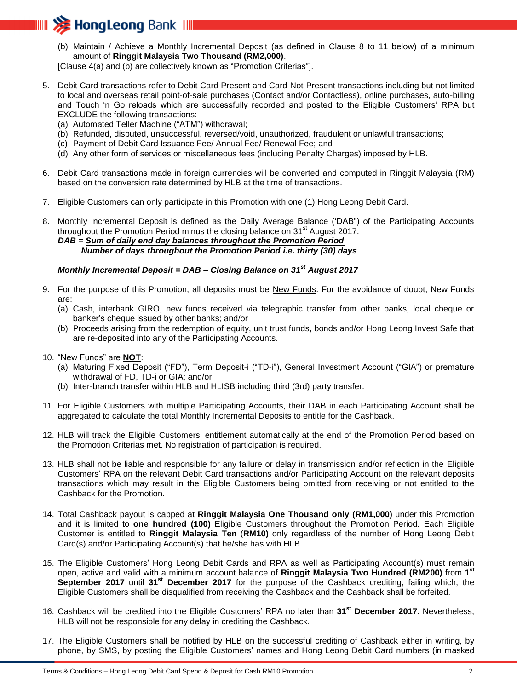

(b) Maintain / Achieve a Monthly Incremental Deposit (as defined in Clause 8 to 11 below) of a minimum amount of **Ringgit Malaysia Two Thousand (RM2,000)**.

[Clause 4(a) and (b) are collectively known as "Promotion Criterias"].

- 5. Debit Card transactions refer to Debit Card Present and Card-Not-Present transactions including but not limited to local and overseas retail point-of-sale purchases (Contact and/or Contactless), online purchases, auto-billing and Touch 'n Go reloads which are successfully recorded and posted to the Eligible Customers' RPA but EXCLUDE the following transactions:
	- (a) Automated Teller Machine ("ATM") withdrawal;
	- (b) Refunded, disputed, unsuccessful, reversed/void, unauthorized, fraudulent or unlawful transactions;
	- (c) Payment of Debit Card Issuance Fee/ Annual Fee/ Renewal Fee; and
	- (d) Any other form of services or miscellaneous fees (including Penalty Charges) imposed by HLB.
- 6. Debit Card transactions made in foreign currencies will be converted and computed in Ringgit Malaysia (RM) based on the conversion rate determined by HLB at the time of transactions.
- 7. Eligible Customers can only participate in this Promotion with one (1) Hong Leong Debit Card.

8. Monthly Incremental Deposit is defined as the Daily Average Balance ('DAB") of the Participating Accounts throughout the Promotion Period minus the closing balance on  $31<sup>st</sup>$  August 2017. *DAB = Sum of daily end day balances throughout the Promotion Period Number of days throughout the Promotion Period i.e. thirty (30) days*

# *Monthly Incremental Deposit = DAB – Closing Balance on 31st August 2017*

- 9. For the purpose of this Promotion, all deposits must be New Funds. For the avoidance of doubt, New Funds are:
	- (a) Cash, interbank GIRO, new funds received via telegraphic transfer from other banks, local cheque or banker's cheque issued by other banks; and/or
	- (b) Proceeds arising from the redemption of equity, unit trust funds, bonds and/or Hong Leong Invest Safe that are re-deposited into any of the Participating Accounts.
- 10. "New Funds" are **NOT**:
	- (a) Maturing Fixed Deposit ("FD"), Term Deposit-i ("TD-i"), General Investment Account ("GIA") or premature withdrawal of FD, TD-i or GIA; and/or
	- (b) Inter-branch transfer within HLB and HLISB including third (3rd) party transfer.
- 11. For Eligible Customers with multiple Participating Accounts, their DAB in each Participating Account shall be aggregated to calculate the total Monthly Incremental Deposits to entitle for the Cashback.
- 12. HLB will track the Eligible Customers' entitlement automatically at the end of the Promotion Period based on the Promotion Criterias met. No registration of participation is required.
- 13. HLB shall not be liable and responsible for any failure or delay in transmission and/or reflection in the Eligible Customers' RPA on the relevant Debit Card transactions and/or Participating Account on the relevant deposits transactions which may result in the Eligible Customers being omitted from receiving or not entitled to the Cashback for the Promotion.
- 14. Total Cashback payout is capped at **Ringgit Malaysia One Thousand only (RM1,000)** under this Promotion and it is limited to **one hundred (100)** Eligible Customers throughout the Promotion Period. Each Eligible Customer is entitled to **Ringgit Malaysia Ten** (**RM10)** only regardless of the number of Hong Leong Debit Card(s) and/or Participating Account(s) that he/she has with HLB.
- 15. The Eligible Customers' Hong Leong Debit Cards and RPA as well as Participating Account(s) must remain open, active and valid with a minimum account balance of **Ringgit Malaysia Two Hundred (RM200)** from **1 st September 2017** until **31st December 2017** for the purpose of the Cashback crediting, failing which, the Eligible Customers shall be disqualified from receiving the Cashback and the Cashback shall be forfeited.
- 16. Cashback will be credited into the Eligible Customers' RPA no later than **31st December 2017**. Nevertheless, HLB will not be responsible for any delay in crediting the Cashback.
- 17. The Eligible Customers shall be notified by HLB on the successful crediting of Cashback either in writing, by phone, by SMS, by posting the Eligible Customers' names and Hong Leong Debit Card numbers (in masked